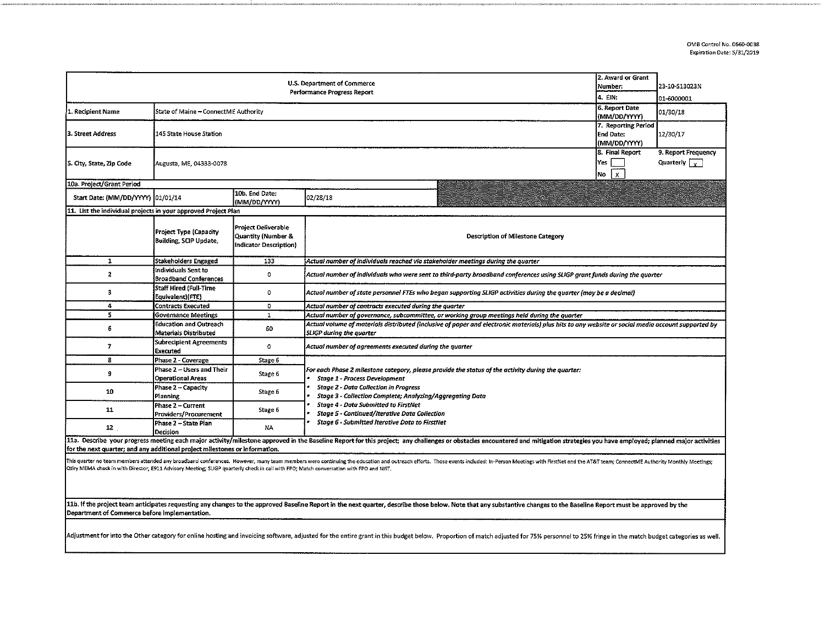| 2. Award or Grant<br>U.S. Department of Commerce<br>Number:<br>Performance Progress Report<br>4. EIN:                                                                                                                                                                                                                                                                     |                                                                        |                                                                                       |                                                                                                                                                                                                                                                                                                                                                                                                    |  | 23-10-S13023N<br>01-6000001 |  |  |  |  |
|---------------------------------------------------------------------------------------------------------------------------------------------------------------------------------------------------------------------------------------------------------------------------------------------------------------------------------------------------------------------------|------------------------------------------------------------------------|---------------------------------------------------------------------------------------|----------------------------------------------------------------------------------------------------------------------------------------------------------------------------------------------------------------------------------------------------------------------------------------------------------------------------------------------------------------------------------------------------|--|-----------------------------|--|--|--|--|
| 1. Recipient Name                                                                                                                                                                                                                                                                                                                                                         | 6. Report Date<br>State of Maine - ConnectME Authority<br>(MM/DD/YYYY) |                                                                                       |                                                                                                                                                                                                                                                                                                                                                                                                    |  |                             |  |  |  |  |
| 3. Street Address                                                                                                                                                                                                                                                                                                                                                         | 145 State House Station                                                | 7. Reporting Period<br><b>End Date:</b><br>(MM/DD/YYYY)                               | 12/30/17                                                                                                                                                                                                                                                                                                                                                                                           |  |                             |  |  |  |  |
| S. City, State, Zip Code                                                                                                                                                                                                                                                                                                                                                  | Augusta, ME, 04333-0078                                                | 8. Final Report<br>Yes<br>$\mathbf{x}$<br>No                                          | 9. Report Frequency<br>Quarterly $\sqrt{y}$                                                                                                                                                                                                                                                                                                                                                        |  |                             |  |  |  |  |
| 10a. Project/Grant Period                                                                                                                                                                                                                                                                                                                                                 |                                                                        |                                                                                       |                                                                                                                                                                                                                                                                                                                                                                                                    |  |                             |  |  |  |  |
| Start Date: (MM/DD/YYYY) 01/01/14                                                                                                                                                                                                                                                                                                                                         |                                                                        | 10b. End Date:<br>(MM/DD/YYYY)                                                        | 02/28/18                                                                                                                                                                                                                                                                                                                                                                                           |  |                             |  |  |  |  |
| 11. List the individual projects in your approved Project Plan                                                                                                                                                                                                                                                                                                            |                                                                        |                                                                                       |                                                                                                                                                                                                                                                                                                                                                                                                    |  |                             |  |  |  |  |
|                                                                                                                                                                                                                                                                                                                                                                           | Project Type (Capacity<br><b>Building, SCIP Update,</b>                | <b>Project Deliverable</b><br><b>Quantity (Number &amp;</b><br>Indicator Description) | <b>Description of Milestone Category</b>                                                                                                                                                                                                                                                                                                                                                           |  |                             |  |  |  |  |
| 1                                                                                                                                                                                                                                                                                                                                                                         | Stakeholders Engaged                                                   | 133                                                                                   | Actual number of individuals reached via stakeholder meetings during the quarter                                                                                                                                                                                                                                                                                                                   |  |                             |  |  |  |  |
| $\overline{\mathbf{z}}$                                                                                                                                                                                                                                                                                                                                                   | Individuals Sent to<br><b>Broadband Conferences</b>                    | 0                                                                                     | Actual number of individuals who were sent to third-party broadband conferences using SLIGP grant funds during the quarter                                                                                                                                                                                                                                                                         |  |                             |  |  |  |  |
| 3                                                                                                                                                                                                                                                                                                                                                                         | Staff Hired (Full-Time<br>Equivalent)(FTE)                             | 0                                                                                     | Actual number of state personnel FTEs who began supporting SLIGP activities during the quarter (may be a decimal)                                                                                                                                                                                                                                                                                  |  |                             |  |  |  |  |
| 4                                                                                                                                                                                                                                                                                                                                                                         | <b>Contracts Executed</b>                                              | 0                                                                                     | Actual number of contracts executed during the quarter                                                                                                                                                                                                                                                                                                                                             |  |                             |  |  |  |  |
| 5                                                                                                                                                                                                                                                                                                                                                                         | <b>Governance Meetings</b>                                             | $\mathbf{1}$                                                                          | Actual number of governance, subcommittee, or working group meetings held during the quarter                                                                                                                                                                                                                                                                                                       |  |                             |  |  |  |  |
| 6                                                                                                                                                                                                                                                                                                                                                                         | <b>Education and Outreach</b><br>Materials Distributed                 | 60                                                                                    | Actual volume of materials distributed (inclusive of paper and electronic materials) plus hits to any website or social media account supported by<br><b>SLIGP during the quarter</b>                                                                                                                                                                                                              |  |                             |  |  |  |  |
| $\overline{ }$                                                                                                                                                                                                                                                                                                                                                            | Subrecipient Agreements<br>Executed                                    | ٥                                                                                     | Actual number of agreements executed during the quarter                                                                                                                                                                                                                                                                                                                                            |  |                             |  |  |  |  |
| 8                                                                                                                                                                                                                                                                                                                                                                         | Phase 2 - Coverage                                                     | Stage 6                                                                               |                                                                                                                                                                                                                                                                                                                                                                                                    |  |                             |  |  |  |  |
| 9                                                                                                                                                                                                                                                                                                                                                                         | Phase 2 - Users and Their<br><b>Operational Areas</b>                  | Stage 6                                                                               | For each Phase 2 milestone category, please provide the status of the activity during the quarter:<br>Stage 1 - Process Development<br><b>Stage 2 - Data Collection in Progress</b><br>Stage 3 - Collection Complete; Analyzing/Aggregating Data<br><b>Stage 4 - Data Submitted to FirstNet</b><br>Stage 5 - Continued/Iterative Data Collection<br>Stage 6 - Submitted Iterative Data to FirstNet |  |                             |  |  |  |  |
| 10                                                                                                                                                                                                                                                                                                                                                                        | Phase 2 - Capacity<br>Planning                                         | Stage 6                                                                               |                                                                                                                                                                                                                                                                                                                                                                                                    |  |                             |  |  |  |  |
| 11                                                                                                                                                                                                                                                                                                                                                                        | Phase 2 – Current<br>Providers/Procurement                             | Stage 6                                                                               |                                                                                                                                                                                                                                                                                                                                                                                                    |  |                             |  |  |  |  |
| 12                                                                                                                                                                                                                                                                                                                                                                        | Phase 2 - State Plan<br>Decision                                       | NA                                                                                    |                                                                                                                                                                                                                                                                                                                                                                                                    |  |                             |  |  |  |  |
| 11a. Describe your progress meeting each major activity/milestone approved in the Baseline Report for this project; any challenges or obstacles encountered and mitigation strategies you have employed; planned major activit<br>for the next quarter; and any additional project milestones or information.                                                             |                                                                        |                                                                                       |                                                                                                                                                                                                                                                                                                                                                                                                    |  |                             |  |  |  |  |
| This quarter no team members attended any broadband conferences. However, many team members were continuing the education and outreach efforts. Those events included: In-Person Meetings with FirstNet and the AT&T team; Con<br>Otlry MEMA check in with Director; E911 Advisory Meeting; SLIGP quarterly check in call with FPO; Match conversation with FPO and NIST, |                                                                        |                                                                                       |                                                                                                                                                                                                                                                                                                                                                                                                    |  |                             |  |  |  |  |

11b. If the project team anticipates requesting any changes to the approved Baseline Report in the next quarter, describe those below. Note that any substantive changes to the Baseline Report must be approved by the Department of Commerce before implementation.

Adjustment for into the Other category for online hosting and invoicing software, adjusted for the entire grant in this budget below. Proportion of match adjusted for 75% personnel to 25% fringe in the match budget categor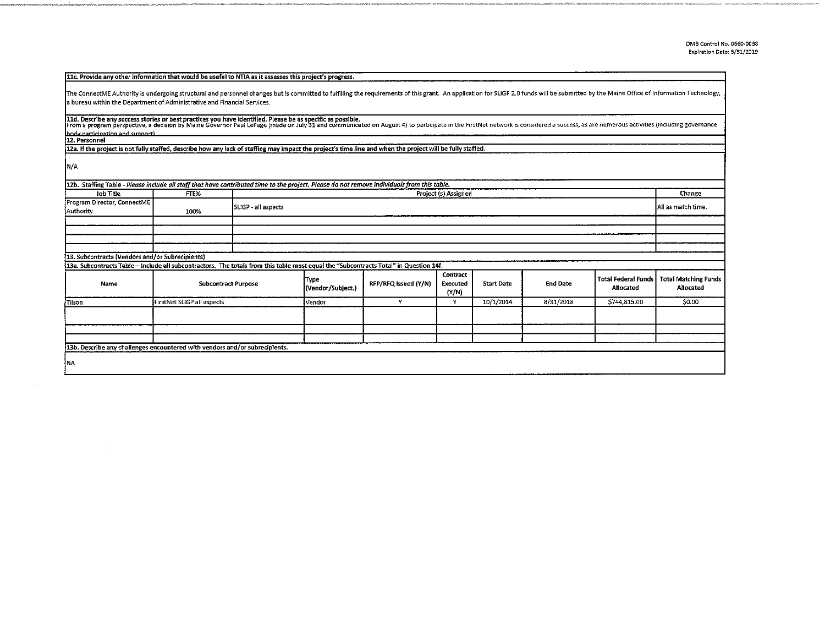| 11c. Provide any other information that would be useful to NTIA as it assesses this project's progress.                                                                                                                                                                                                                                       |                            |                      |                           |                      |                               |                   |                 |                                         |                                          |
|-----------------------------------------------------------------------------------------------------------------------------------------------------------------------------------------------------------------------------------------------------------------------------------------------------------------------------------------------|----------------------------|----------------------|---------------------------|----------------------|-------------------------------|-------------------|-----------------|-----------------------------------------|------------------------------------------|
| The ConnectME Authority is undergoing structural and personnel changes but is committed to fulfilling the requirements of this grant. An application for SLIGP 2.0 funds will be submitted by the Maine Office of Information                                                                                                                 |                            |                      |                           |                      |                               |                   |                 |                                         |                                          |
| a bureau within the Department of Administrative and Financial Services.                                                                                                                                                                                                                                                                      |                            |                      |                           |                      |                               |                   |                 |                                         |                                          |
| 11d. Describe any success stories or best practices you have identified. Please be as specific as possible.<br>From a program perspective, a decision by Maine Governor Paul LePage (made on July 31 and communicated on August 4) to participate in the FirstNet network is considered a success, as are numerous activities (including gove |                            |                      |                           |                      |                               |                   |                 |                                         |                                          |
| hoov participation and support)                                                                                                                                                                                                                                                                                                               |                            |                      |                           |                      |                               |                   |                 |                                         |                                          |
| 12. Personnel<br>12a. If the project is not fully staffed, describe how any lack of staffing may impact the project's time line and when the project will be fully staffed.                                                                                                                                                                   |                            |                      |                           |                      |                               |                   |                 |                                         |                                          |
|                                                                                                                                                                                                                                                                                                                                               |                            |                      |                           |                      |                               |                   |                 |                                         |                                          |
| N/A                                                                                                                                                                                                                                                                                                                                           |                            |                      |                           |                      |                               |                   |                 |                                         |                                          |
| 12b. Staffing Table - Please include all staff that have contributed time to the project. Please do not remove individuals from this table.                                                                                                                                                                                                   |                            |                      |                           |                      |                               |                   |                 |                                         |                                          |
| Job Title                                                                                                                                                                                                                                                                                                                                     | FTE%                       | Project (s) Assigned |                           |                      |                               |                   | Change          |                                         |                                          |
| Program Director, ConnectME<br>Authority                                                                                                                                                                                                                                                                                                      | 100%                       | SLIGP - all aspects  |                           |                      |                               |                   |                 |                                         | All as match time.                       |
|                                                                                                                                                                                                                                                                                                                                               |                            |                      |                           |                      |                               |                   |                 |                                         |                                          |
|                                                                                                                                                                                                                                                                                                                                               |                            |                      |                           |                      |                               |                   |                 |                                         |                                          |
|                                                                                                                                                                                                                                                                                                                                               |                            |                      |                           |                      |                               |                   |                 |                                         |                                          |
|                                                                                                                                                                                                                                                                                                                                               |                            |                      |                           |                      |                               |                   |                 |                                         |                                          |
| 13. Subcontracts (Vendors and/or Subrecipients)                                                                                                                                                                                                                                                                                               |                            |                      |                           |                      |                               |                   |                 |                                         |                                          |
| 13a. Subcontracts Table - include all subcontractors. The totals from this table must equal the "Subcontracts Total" in Question 14f.                                                                                                                                                                                                         |                            |                      |                           |                      |                               |                   |                 |                                         |                                          |
| Name                                                                                                                                                                                                                                                                                                                                          | <b>Subcontract Purpose</b> |                      | Type<br>(Vendor/Subject.) | RFP/RFQ Issued (Y/N) | Contract<br>Executed<br>(N/N) | <b>Start Date</b> | <b>End Date</b> | <b>Total Federal Funds</b><br>Allocated | <b>Total Matching Funds</b><br>Allocated |
| Tilson                                                                                                                                                                                                                                                                                                                                        | FirstNet SLIGP all aspects |                      | │Vendor                   | Y                    | Y                             | 10/1/2014         | 8/31/2018       | \$744,815.00                            | \$0.00                                   |
|                                                                                                                                                                                                                                                                                                                                               |                            |                      |                           |                      |                               |                   |                 |                                         |                                          |
|                                                                                                                                                                                                                                                                                                                                               |                            |                      |                           |                      |                               |                   |                 |                                         |                                          |
|                                                                                                                                                                                                                                                                                                                                               |                            |                      |                           |                      |                               |                   |                 |                                         |                                          |
| 13b. Describe any challenges encountered with vendors and/or subrecipients.                                                                                                                                                                                                                                                                   |                            |                      |                           |                      |                               |                   |                 |                                         |                                          |
| ∤NA                                                                                                                                                                                                                                                                                                                                           |                            |                      |                           |                      |                               |                   |                 |                                         |                                          |

 $\alpha$